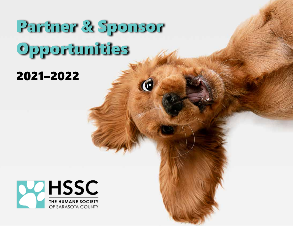# Partner & Sponsor Opportunities

## 2021–2022

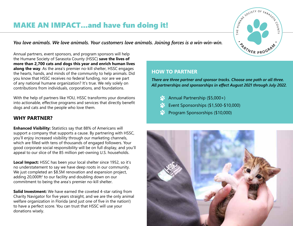### MAKE AN IMPACT...and have fun doing it!

*You love animals. We love animals. Your customers love animals. Joining forces is a win-win-win.*

Annual partners, event sponsors, and program sponsors will help the Humane Society of Sarasota County (HSSC) **save the lives of more than 2,700 cats and dogs this year and enrich human lives along the way**. As the area's premier no-kill shelter, HSSC engages the hearts, hands, and minds of the community to help animals. Did you know that HSSC receives no federal funding, nor are we part of any national humane organization? It's true. We rely solely on contributions from individuals, corporations, and foundations.

With the help of partners like YOU, HSSC transforms your donations into actionable, effective programs and services that directly benefit dogs and cats and the people who love them.

### **WHY PARTNER?**

**Enhanced Visibility:** Statistics say that 88% of Americans will support a company that supports a cause. By partnering with HSSC, you'll enjoy increased visibility through our marketing channels, which are filled with tens of thousands of engaged followers. Your good corporate social responsibility will be on full display, and you'll appeal to our slice of the 85 million pet-owning U.S. households.

**Local Impact:** HSSC has been your local shelter since 1952, so it's no understatement to say we have deep roots in our community. We just completed an \$8.5M renovation and expansion project, adding  $20,000$ ft<sup>2</sup> to our facility and doubling down on our commitment to being the area's premier no-kill shelter.

**Solid Investment:** We have earned the coveted 4-star rating from Charity Navigator for five years straight, and we are the only animal welfare organization in Florida (and just one of five in the nation!) to have a perfect score. You can trust that HSSC will use your donations wisely.

### **HOW TO PARTNER**

*There are three partner and sponsor tracks. Choose one path or all three. All partnerships and sponsorships in effect August 2021 through July 2022.*

- Annual Partnership (\$5,000+)
- Event Sponsorships (\$1,500-\$10,000)
- Program Sponsorships (\$10,000)



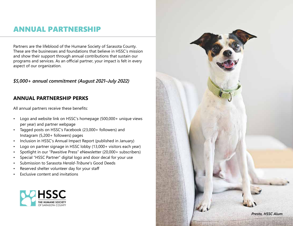### ANNUAL PARTNERSHIP

Partners are the lifeblood of the Humane Society of Sarasota County. These are the businesses and foundations that believe in HSSC's mission and show their support through annual contributions that sustain our programs and services. As an official partner, your impact is felt in every aspect of our organization.

### *\$5,000+ annual commitment (August 2021–July 2022)*

### **ANNUAL PARTNERSHIP PERKS**

All annual partners receive these benefits:

- Logo and website link on HSSC's homepage (500,000+ unique views per year) and partner webpage
- Tagged posts on HSSC's Facebook (23,000+ followers) and Instagram (5,200+ followers) pages
- Inclusion in HSSC's Annual Impact Report (published in January)
- Logo on partner signage in HSSC lobby (13,000+ visitors each year)
- Spotlight in our "Pawsitive Press" eNewsletter (20,000+ subscribers)
- Special "HSSC Partner" digital logo and door decal for your use
- Submission to Sarasota *Herald-Tribune*'s Good Deeds
- Reserved shelter volunteer day for your staff
- Exclusive content and invitations



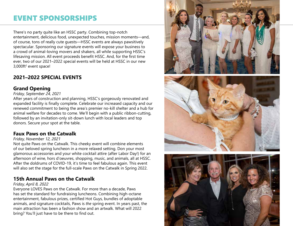### EVENT SPONSORSHIPS

There's no party quite like an HSSC party. Combining top-notch entertainment, delicious food, unexpected touches, mission moments—and, of course, tons of really cute guests—HSSC events are always pawsitively spectacular. Sponsoring our signature events will expose your business to a crowd of animal-loving movers and shakers, all while supporting HSSC's lifesaving mission. All event proceeds benefit HSSC. And, for the first time ever, two of our 2021–2022 special events will be held at HSSC in our new 3,000ft<sup>2</sup> event space!

### **2021–2022 SPECIAL EVENTS**

### **Grand Opening**

#### *Friday, September 24, 2021*

After years of construction and planning, HSSC's gorgeously renovated and expanded facility is finally complete. Celebrate our increased capacity and our renewed commitment to being the area's premier no-kill shelter and a hub for animal welfare for decades to come. We'll begin with a public ribbon-cutting, followed by an invitation-only sit-down lunch with local leaders and top donors. Secure your spot at the table.

### **Faux Paws on the Catwalk**

#### *Friday, November 12, 2021*

Not quite Paws on the Catwalk. This cheeky event will combine elements of our beloved spring luncheon in a more relaxed setting. Don your most glamorous accessories and your white cocktail attire (after Labor Day!) for an afternoon of wine, hors d'oeuvres, shopping, music, and animals, all at HSSC. After the doldrums of COVID-19, it's time to feel fabulous again. This event will also set the stage for the full-scale Paws on the Catwalk in Spring 2022.

### **15th Annual Paws on the Catwalk**

#### *Friday, April 8, 2022*

Everyone LOVES Paws on the Catwalk. For more than a decade, Paws has set the standard for fundraising luncheons. Combining high-octane entertainment, fabulous prizes, certified Hot Guys, bundles of adoptable animals, and signature cocktails, Paws is *the* spring event. In years past, the main attraction has been a fashion show and an artwalk. What will 2022 bring? You'll just have to be there to find out.

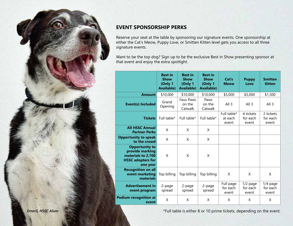

### **EVENT SPONSORSHIP PERKS**

Reserve your seat at the table by sponsoring our signature events. One sponsorship at either the Cat's Meow, Puppy Love, or Smitten Kitten level gets you access to all three signature events.

Want to be the top dog? Sign up to be the exclusive Best in Show presenting sponsor at that event and enjoy the extra spotlight.

|                                                                                                        | <b>Best in</b><br><b>Show</b><br>(Only 1<br><b>Available)</b> | <b>Best in</b><br><b>Show</b><br>(Only 1<br><b>Available)</b> | <b>Best in</b><br><b>Show</b><br>(Only 1<br><b>Available)</b> | Cat's<br><b>Meow</b>            | <b>Puppy</b><br>Love            | <b>Smitten</b><br><b>Kitten</b> |
|--------------------------------------------------------------------------------------------------------|---------------------------------------------------------------|---------------------------------------------------------------|---------------------------------------------------------------|---------------------------------|---------------------------------|---------------------------------|
| <b>Amount</b>                                                                                          | \$10,000                                                      | \$10,000                                                      | \$10,000                                                      | \$5,000                         | \$3,000                         | \$1,500                         |
| <b>Event(s) Included</b>                                                                               | Grand<br>Opening                                              | <b>Faux Paws</b><br>on the<br>Catwalk                         | Paws<br>on the<br>Catwalk                                     | All <sub>3</sub>                | All $3$                         | All <sub>3</sub>                |
| <b>Tickets</b>                                                                                         | Full table*                                                   | Full table*                                                   | Full table*                                                   | Full table*<br>at each<br>event | 4 tickets<br>for each<br>event  | 2 tickets<br>for each<br>event  |
| <b>All HSSC Annual</b><br><b>Partner Perks</b>                                                         | X                                                             | X                                                             | X                                                             |                                 |                                 |                                 |
| <b>Opportunity to speak</b><br>to the crowd                                                            | X                                                             | X                                                             | X                                                             |                                 |                                 |                                 |
| <b>Opportunity to</b><br>provide marking<br>materials to 2,700<br><b>HSSC adopters for</b><br>one year | X                                                             | X                                                             | X                                                             |                                 |                                 |                                 |
| <b>Recognition on all</b><br>event marketing<br>materials                                              | Top billing                                                   | Top billing                                                   | Top billing                                                   | X                               | X                               | X                               |
| <b>Advertisement in</b><br>event program                                                               | 2-page<br>spread                                              | 2-page<br>spread                                              | 2-page<br>spread                                              | Full page<br>for each<br>event  | $1/2$ page<br>for each<br>event | 1/4 page<br>for each<br>event   |
| <b>Podium recognition at</b><br>event                                                                  | Χ                                                             | X                                                             | X                                                             | X                               | X                               | X                               |

**Emeril, HSSC Alum Emerican Construction of the exercise of the exercise of the event.**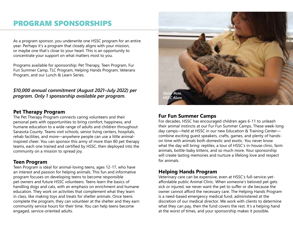### PROGRAM SPONSORSHIPS

As a program sponsor, you underwrite one HSSC program for an entire year. Perhaps it's a program that closely aligns with your mission, or maybe one that's close to your heart. This is an opportunity to concentrate your support on what matters most to you.

Programs available for sponsorship: Pet Therapy, Teen Program, Fur Fun Summer Camp, TLC Program, Helping Hands Program, Veterans Program, and our Lunch & Learn Series.

### *\$10,000 annual commitment (August 2021–July 2022) per program. Only 1 sponsorship available per program.*

#### **Pet Therapy Program**

The Pet Therapy Program connects caring volunteers and their personal pets with opportunities to bring comfort, happiness, and humane education to a wide range of adults and children throughout Sarasota County. Teams visit schools, senior living centers, hospitals, rehab facilities, and more—anywhere people can use a little animalinspired cheer. You can sponsor this army of more than 80 pet therapy teams, each one trained and certified by HSSC, then deployed into the community on a mission to spread joy.

#### **Teen Program**

Teen Program is ideal for animal-loving teens, ages 12-17, who have an interest and passion for helping animals. This fun and informative program focuses on developing teens to become responsible pet owners and future HSSC volunteers. Teens learn the basics of handling dogs and cats, with an emphasis on enrichment and humane education. They work on activities that complement what they learn in class, like making toys and treats for shelter animals. Once teens complete the program, they can volunteer at the shelter and they earn community service hours for their time. You can help teens become engaged, service-oriented adults.



### **Fur Fun Summer Camps**

For decades, HSSC has encouraged children ages 6-11 to unleash their animal instincts at our Fur Fun Summer Camps. These week-long day camps—held at HSSC in our new Education & Training Center combine exciting guest speakers, crafts, games, and plenty of handson time with animals both domestic and exotic. You never know what the day will bring: reptiles, a tour of HSSC's in-house clinic, farm animals, bottle-baby kittens, and so much more. Your sponsorship will create lasting memories and nurture a lifelong love and respect for animals.

### **Helping Hands Program**

Veterinary care can be expensive, even at HSSC's full-service-yetaffordable public Animal Clinic. When someone's beloved pet gets sick or injured, we never want the pet to suffer or die because the owner cannot afford the necessary care. The Helping Hands Program is a need-based emergency medical fund, administered at the discretion of our medical director. We work with clients to determine what they can pay, then the fund covers the rest. It's a helping hand at the worst of times, and your sponsorship makes it possible.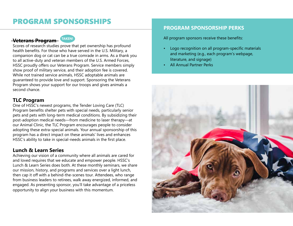### PROGRAM SPONSORSHIPS

### **Veterans Program**



Scores of research studies prove that pet ownership has profound health benefits. For those who have served in the U.S. Military, a companion dog or cat can be a true comrade in arms. As a thank you to all active-duty and veteran members of the U.S. Armed Forces, HSSC proudly offers our Veterans Program. Service members simply show proof of military service, and their adoption fee is covered. While not trained service animals, HSSC adoptable animals are guaranteed to provide love and support. Sponsoring the Veterans Program shows your support for our troops and gives animals a second chance.

### **TLC Program**

One of HSSC's newest programs, the Tender Loving Care (TLC) Program benefits shelter pets with special needs, particularly senior pets and pets with long-term medical conditions. By subsidizing their post-adoption medical needs—from medicine to laser therapy—at our Animal Clinic, the TLC Program encourages people to consider adopting these extra-special animals. Your annual sponsorship of this program has a direct impact on these animals' lives and enhances HSSC's ability to take in special-needs animals in the first place.

### **Lunch & Learn Series**

Achieving our vision of a community where all animals are cared for and loved requires that we educate and empower people. HSSC's Lunch & Learn Series does both. At these monthly seminars, we share our mission, history, and programs and services over a light lunch, then cap it off with a behind-the-scenes tour. Attendees, who range from business leaders to retirees, walk away energized, informed, and engaged. As presenting sponsor, you'll take advantage of a priceless opportunity to align your business with this momentum.

### **PROGRAM SPONSORSHIP PERKS**

All program sponsors receive these benefits:

- Logo recognition on all program-specific materials and marketing (e.g., each program's webpage, literature, and signage)
- All Annual Partner Perks

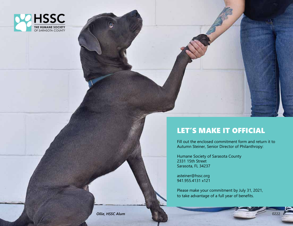

### LET'S MAKE IT OFFICIAL

Fill out the enclosed commitment form and return it to Autumn Steiner, Senior Director of Philanthropy:

Humane Society of Sarasota County 2331 15th Street Sarasota, FL 34237

asteiner@hssc.org 941.955.4131 x121

Please make your commitment by July 31, 2021, to take advantage of a full year of benefits.

**Ollie, HSSC Alum**